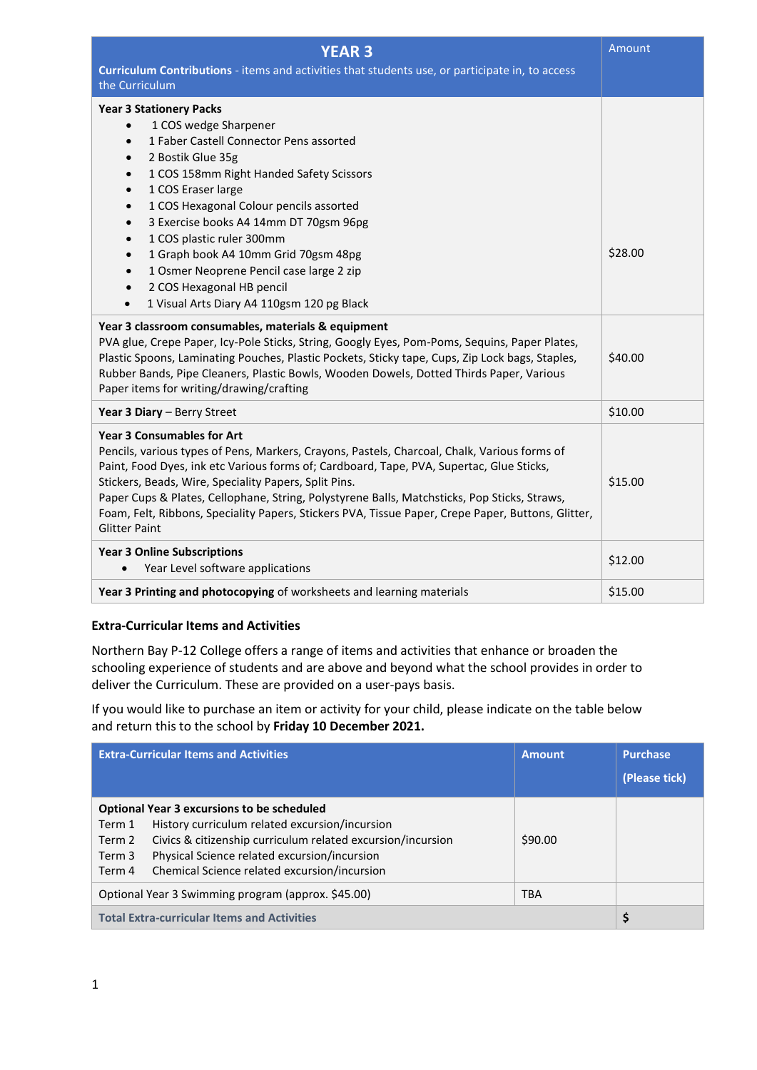| <b>YEAR 3</b>                                                                                                                                                                                                                                                                                                                                                                                                                                                                                                        | Amount  |
|----------------------------------------------------------------------------------------------------------------------------------------------------------------------------------------------------------------------------------------------------------------------------------------------------------------------------------------------------------------------------------------------------------------------------------------------------------------------------------------------------------------------|---------|
| Curriculum Contributions - items and activities that students use, or participate in, to access<br>the Curriculum                                                                                                                                                                                                                                                                                                                                                                                                    |         |
| <b>Year 3 Stationery Packs</b><br>1 COS wedge Sharpener<br>1 Faber Castell Connector Pens assorted<br>$\bullet$<br>2 Bostik Glue 35g<br>1 COS 158mm Right Handed Safety Scissors<br>1 COS Eraser large<br>1 COS Hexagonal Colour pencils assorted<br>3 Exercise books A4 14mm DT 70gsm 96pg<br>$\bullet$<br>1 COS plastic ruler 300mm<br>$\bullet$<br>1 Graph book A4 10mm Grid 70gsm 48pg<br>1 Osmer Neoprene Pencil case large 2 zip<br>2 COS Hexagonal HB pencil                                                  | \$28.00 |
| 1 Visual Arts Diary A4 110gsm 120 pg Black<br>$\bullet$                                                                                                                                                                                                                                                                                                                                                                                                                                                              |         |
| Year 3 classroom consumables, materials & equipment<br>PVA glue, Crepe Paper, Icy-Pole Sticks, String, Googly Eyes, Pom-Poms, Sequins, Paper Plates,<br>Plastic Spoons, Laminating Pouches, Plastic Pockets, Sticky tape, Cups, Zip Lock bags, Staples,<br>Rubber Bands, Pipe Cleaners, Plastic Bowls, Wooden Dowels, Dotted Thirds Paper, Various<br>Paper items for writing/drawing/crafting                                                                                                                       | \$40.00 |
| Year 3 Diary - Berry Street                                                                                                                                                                                                                                                                                                                                                                                                                                                                                          | \$10.00 |
| <b>Year 3 Consumables for Art</b><br>Pencils, various types of Pens, Markers, Crayons, Pastels, Charcoal, Chalk, Various forms of<br>Paint, Food Dyes, ink etc Various forms of; Cardboard, Tape, PVA, Supertac, Glue Sticks,<br>Stickers, Beads, Wire, Speciality Papers, Split Pins.<br>Paper Cups & Plates, Cellophane, String, Polystyrene Balls, Matchsticks, Pop Sticks, Straws,<br>Foam, Felt, Ribbons, Speciality Papers, Stickers PVA, Tissue Paper, Crepe Paper, Buttons, Glitter,<br><b>Glitter Paint</b> | \$15.00 |
| <b>Year 3 Online Subscriptions</b><br>Year Level software applications                                                                                                                                                                                                                                                                                                                                                                                                                                               | \$12.00 |
| Year 3 Printing and photocopying of worksheets and learning materials                                                                                                                                                                                                                                                                                                                                                                                                                                                | \$15.00 |

## **Extra-Curricular Items and Activities**

Northern Bay P-12 College offers a range of items and activities that enhance or broaden the schooling experience of students and are above and beyond what the school provides in order to deliver the Curriculum. These are provided on a user-pays basis.

If you would like to purchase an item or activity for your child, please indicate on the table below and return this to the school by **Friday 10 December 2021.**

|                                                                  | <b>Extra-Curricular Items and Activities</b>                                                                                                                                                                                                                       | <b>Amount</b> | <b>Purchase</b><br>(Please tick) |
|------------------------------------------------------------------|--------------------------------------------------------------------------------------------------------------------------------------------------------------------------------------------------------------------------------------------------------------------|---------------|----------------------------------|
| Term 1<br>Term 2<br>Term 3<br>Term 4                             | <b>Optional Year 3 excursions to be scheduled</b><br>History curriculum related excursion/incursion<br>Civics & citizenship curriculum related excursion/incursion<br>Physical Science related excursion/incursion<br>Chemical Science related excursion/incursion | \$90.00       |                                  |
| Optional Year 3 Swimming program (approx. \$45.00)<br><b>TBA</b> |                                                                                                                                                                                                                                                                    |               |                                  |
| <b>Total Extra-curricular Items and Activities</b>               |                                                                                                                                                                                                                                                                    |               | \$                               |